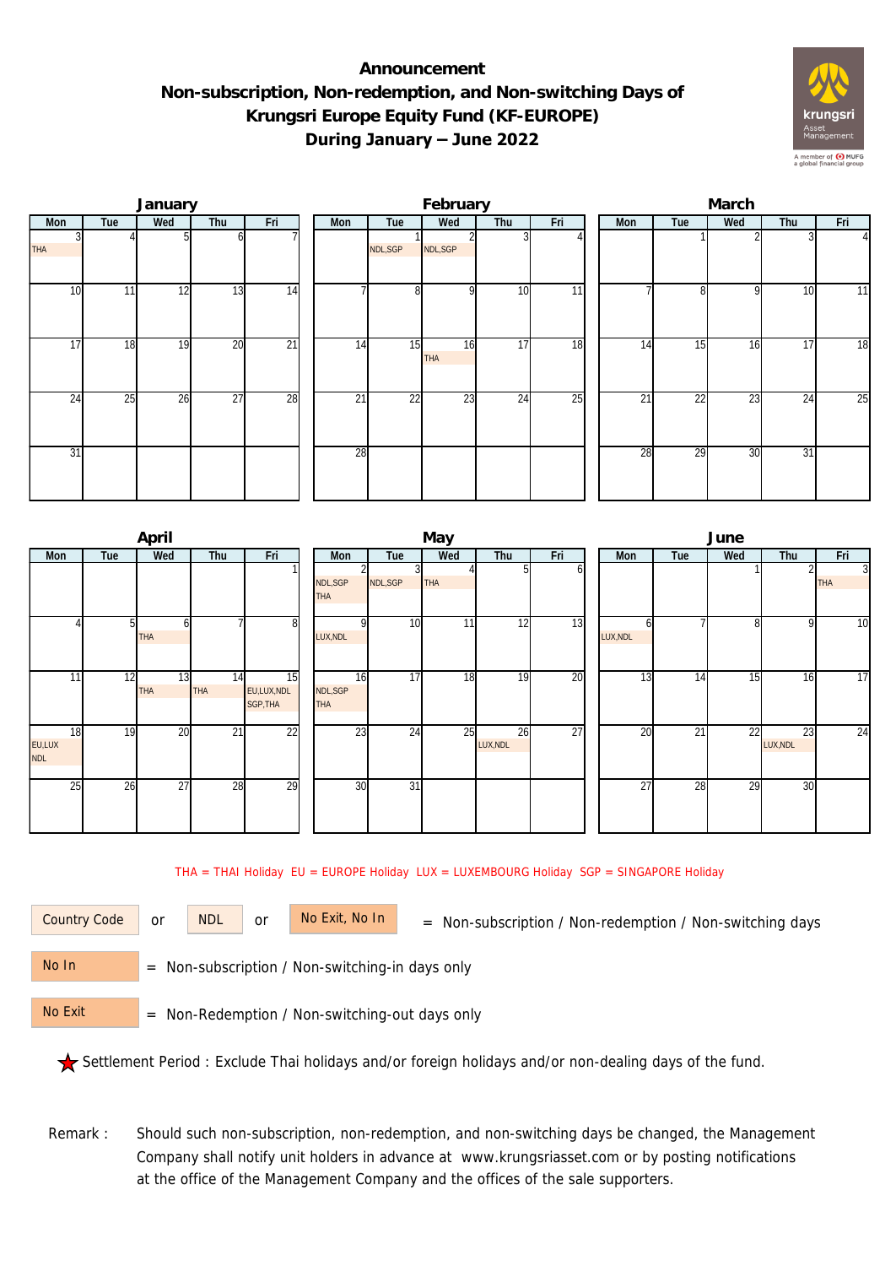## **Announcement Non-subscription, Non-redemption, and Non-switching Days of Krungsri Europe Equity Fund (KF-EUROPE) During January – June 2022**



|                 |     | January |                 |                 |  |     | February       |                  |     | March |     |                 |     |     |                |  |
|-----------------|-----|---------|-----------------|-----------------|--|-----|----------------|------------------|-----|-------|-----|-----------------|-----|-----|----------------|--|
| Mon             | Tue | Wed     | Thu             | Fri             |  | Mon | Tue            | Wed              | Thu | Fri   | Mon | Tue             | Wed | Thu | Fri            |  |
| <b>THA</b>      |     |         | ω               |                 |  |     | NDL,SGP        | NDL, SGP         |     |       |     |                 |     |     | $\overline{4}$ |  |
| 10              | 11  | 12      | 13              | $\overline{14}$ |  |     | 8 <sup>1</sup> | $\Omega$         | 10  | 11    |     | $\mathsf{R}$    | Q   | 10  | 11             |  |
| $1\overline{7}$ | 18  | 19      | 20              | $\overline{21}$ |  | 14  | 15             | 16<br><b>THA</b> | 17  | 18    | 14  | 15              | 16  | 17  | 18             |  |
| 24              | 25  | 26      | $\overline{27}$ | 28              |  | 21  | 22             | 23               | 24  | 25    | 21  | $\overline{22}$ | 23  | 24  | 25             |  |
| 31              |     |         |                 |                 |  | 28  |                |                  |     |       | 28  | 29              | 30  | 31  |                |  |

|                            |     | April             |                  |                                           |                              |                 | May             |                |     | June            |     |     |                |                              |  |
|----------------------------|-----|-------------------|------------------|-------------------------------------------|------------------------------|-----------------|-----------------|----------------|-----|-----------------|-----|-----|----------------|------------------------------|--|
| Mon                        | Tue | Fri<br>Wed<br>Thu |                  | Mon                                       | Tue                          | Wed             | Thu             | Fri            | Mon | Tue             | Wed | Thu | Fri            |                              |  |
|                            |     |                   |                  |                                           | NDL, SGP<br><b>THA</b>       | NDL, SGP        | <b>THA</b>      |                | оı  |                 |     |     |                | $\overline{3}$<br><b>THA</b> |  |
|                            |     | ы<br><b>THA</b>   |                  | 8                                         | ΩI<br>LUX, NDL               | 10              | 11 <sub>1</sub> | 12             | 13  | LUX, NDL        |     | 8   | 9              | 10                           |  |
| 11                         | 12  | 13<br><b>THA</b>  | 14<br><b>THA</b> | $\overline{15}$<br>EU,LUX,NDL<br>SGP, THA | 16<br>NDL, SGP<br><b>THA</b> | 17              | 18              | 19             | 20  | 13              | 14  | 15  | 16             | 17                           |  |
| 18<br>EU,LUX<br><b>NDL</b> | 19  | 20                | $\overline{21}$  | $\overline{22}$                           | $2\overline{3}$              | 24              | 25              | 26<br>LUX, NDL | 27  | 20              | 21  | 22  | 23<br>LUX, NDL | 24                           |  |
| 25                         | 26  | $2\overline{7}$   | 28               | 29                                        | 30                           | $\overline{31}$ |                 |                |     | $\overline{27}$ | 28  | 29  | 30             |                              |  |

THA = THAI Holiday EU = EUROPE Holiday LUX = LUXEMBOURG Holiday SGP = SINGAPORE Holiday

or NDL or

Country Code or NDL or No Exit, No In = Non-subscription / Non-redemption / Non-switching days

 = Non-subscription / Non-switching-in days only No In

 = Non-Redemption / Non-switching-out days only No Exit

Settlement Period : Exclude Thai holidays and/or foreign holidays and/or non-dealing days of the fund.

Remark : Should such non-subscription, non-redemption, and non-switching days be changed, the Management Company shall notify unit holders in advance at www.krungsriasset.com or by posting notifications at the office of the Management Company and the offices of the sale supporters.